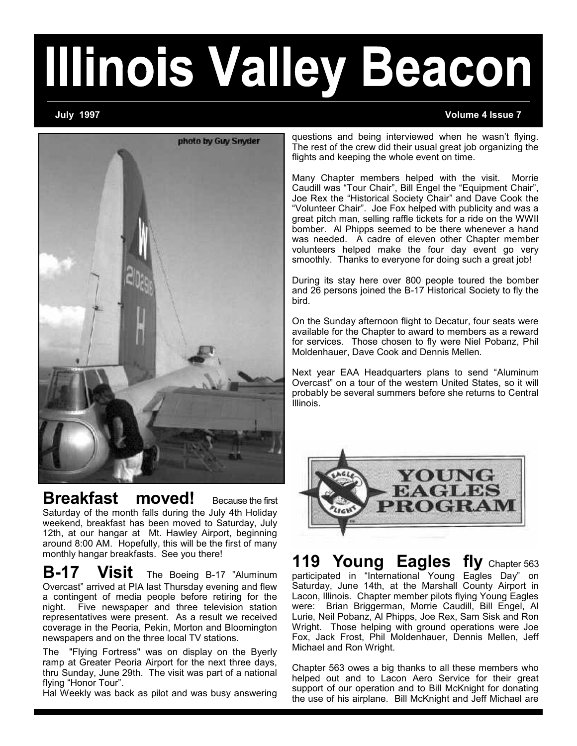# **Illinois Valley Beacon**

## **July 1997 Volume 4 Issue 7**



**Breakfast moved!** Because the first Saturday of the month falls during the July 4th Holiday weekend, breakfast has been moved to Saturday, July 12th, at our hangar at Mt. Hawley Airport, beginning around 8:00 AM. Hopefully, this will be the first of many monthly hangar breakfasts. See you there!

**B-17 Visit** The Boeing B-17 "Aluminum Overcast" arrived at PIA last Thursday evening and flew a contingent of media people before retiring for the night. Five newspaper and three television station representatives were present. As a result we received coverage in the Peoria, Pekin, Morton and Bloomington newspapers and on the three local TV stations.

The "Flying Fortress" was on display on the Byerly ramp at Greater Peoria Airport for the next three days, thru Sunday, June 29th. The visit was part of a national flying "Honor Tour".

Hal Weekly was back as pilot and was busy answering

questions and being interviewed when he wasn't flying. The rest of the crew did their usual great job organizing the flights and keeping the whole event on time.

Many Chapter members helped with the visit. Morrie Caudill was "Tour Chair", Bill Engel the "Equipment Chair", Joe Rex the "Historical Society Chair" and Dave Cook the "Volunteer Chair". Joe Fox helped with publicity and was a great pitch man, selling raffle tickets for a ride on the WWII bomber. Al Phipps seemed to be there whenever a hand was needed. A cadre of eleven other Chapter member volunteers helped make the four day event go very smoothly. Thanks to everyone for doing such a great job!

During its stay here over 800 people toured the bomber and 26 persons joined the B-17 Historical Society to fly the bird.

On the Sunday afternoon flight to Decatur, four seats were available for the Chapter to award to members as a reward for services. Those chosen to fly were Niel Pobanz, Phil Moldenhauer, Dave Cook and Dennis Mellen.

Next year EAA Headquarters plans to send "Aluminum Overcast" on a tour of the western United States, so it will probably be several summers before she returns to Central Illinois.



**119 Young Eagles fly** Chapter 563 participated in "International Young Eagles Day" on Saturday, June 14th, at the Marshall County Airport in Lacon, Illinois. Chapter member pilots flying Young Eagles were: Brian Briggerman, Morrie Caudill, Bill Engel, Al Lurie, Neil Pobanz, Al Phipps, Joe Rex, Sam Sisk and Ron Wright. Those helping with ground operations were Joe Fox, Jack Frost, Phil Moldenhauer, Dennis Mellen, Jeff Michael and Ron Wright.

Chapter 563 owes a big thanks to all these members who helped out and to Lacon Aero Service for their great support of our operation and to Bill McKnight for donating the use of his airplane. Bill McKnight and Jeff Michael are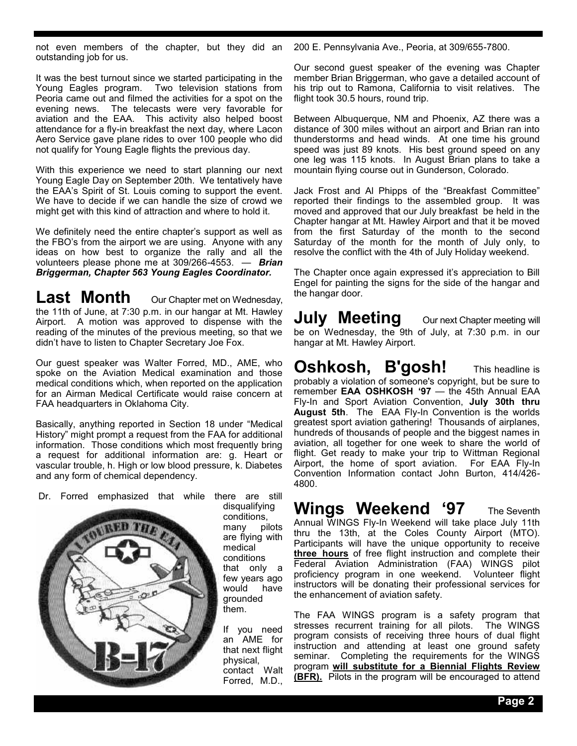not even members of the chapter, but they did an outstanding job for us.

It was the best turnout since we started participating in the Young Eagles program. Two television stations from Peoria came out and filmed the activities for a spot on the evening news. The telecasts were very favorable for aviation and the EAA. This activity also helped boost attendance for a fly-in breakfast the next day, where Lacon Aero Service gave plane rides to over 100 people who did not qualify for Young Eagle flights the previous day.

With this experience we need to start planning our next Young Eagle Day on September 20th. We tentatively have the EAA's Spirit of St. Louis coming to support the event. We have to decide if we can handle the size of crowd we might get with this kind of attraction and where to hold it.

We definitely need the entire chapter's support as well as the FBO's from the airport we are using. Anyone with any ideas on how best to organize the rally and all the volunteers please phone me at 309/266-4553. — *Brian Briggerman, Chapter 563 Young Eagles Coordinator.*

**Last Month** Our Chapter met on Wednesday, the 11th of June, at 7:30 p.m. in our hangar at Mt. Hawley Airport. A motion was approved to dispense with the reading of the minutes of the previous meeting, so that we didn't have to listen to Chapter Secretary Joe Fox.

Our guest speaker was Walter Forred, MD., AME, who spoke on the Aviation Medical examination and those medical conditions which, when reported on the application for an Airman Medical Certificate would raise concern at FAA headquarters in Oklahoma City.

Basically, anything reported in Section 18 under "Medical History" might prompt a request from the FAA for additional information. Those conditions which most frequently bring a request for additional information are: g. Heart or vascular trouble, h. High or low blood pressure, k. Diabetes and any form of chemical dependency.

Dr. Forred emphasized that while there are still



disqualifying conditions,<br>many pi pilots are flying with medical conditions that only a few years ago would have grounded them.

If you need an AME for that next flight physical, contact Walt Forred, M.D.,

200 E. Pennsylvania Ave., Peoria, at 309/655-7800.

Our second guest speaker of the evening was Chapter member Brian Briggerman, who gave a detailed account of his trip out to Ramona, California to visit relatives. The flight took 30.5 hours, round trip.

Between Albuquerque, NM and Phoenix, AZ there was a distance of 300 miles without an airport and Brian ran into thunderstorms and head winds. At one time his ground speed was just 89 knots. His best ground speed on any one leg was 115 knots. In August Brian plans to take a mountain flying course out in Gunderson, Colorado.

Jack Frost and Al Phipps of the "Breakfast Committee" reported their findings to the assembled group. It was moved and approved that our July breakfast be held in the Chapter hangar at Mt. Hawley Airport and that it be moved from the first Saturday of the month to the second Saturday of the month for the month of July only, to resolve the conflict with the 4th of July Holiday weekend.

The Chapter once again expressed it's appreciation to Bill Engel for painting the signs for the side of the hangar and the hangar door.

**JUIV Meeting** Our next Chapter meeting will be on Wednesday, the 9th of July, at 7:30 p.m. in our hangar at Mt. Hawley Airport.

## **Oshkosh, B'gosh!** This headline is probably a violation of someone's copyright, but be sure to

remember **EAA OSHKOSH '97** — the 45th Annual EAA Fly-In and Sport Aviation Convention, **July 30th thru August 5th**. The EAA Fly-In Convention is the worlds greatest sport aviation gathering! Thousands of airplanes, hundreds of thousands of people and the biggest names in aviation, all together for one week to share the world of flight. Get ready to make your trip to Wittman Regional Airport, the home of sport aviation. For EAA Fly-In Convention Information contact John Burton, 414/426- 4800.

# **Wings Weekend '97** The Seventh

Annual WINGS Fly-In Weekend will take place July 11th thru the 13th, at the Coles County Airport (MTO). Participants will have the unique opportunity to receive **three hours** of free flight instruction and complete their Federal Aviation Administration (FAA) WINGS pilot proficiency program in one weekend. Volunteer flight instructors will be donating their professional services for the enhancement of aviation safety.

The FAA WINGS program is a safety program that stresses recurrent training for all pilots. The WINGS program consists of receiving three hours of dual flight instruction and attending at least one ground safety seminar. Completing the requirements for the WINGS program **will substitute for a Biennial Flights Review (BFR).** Pilots in the program will be encouraged to attend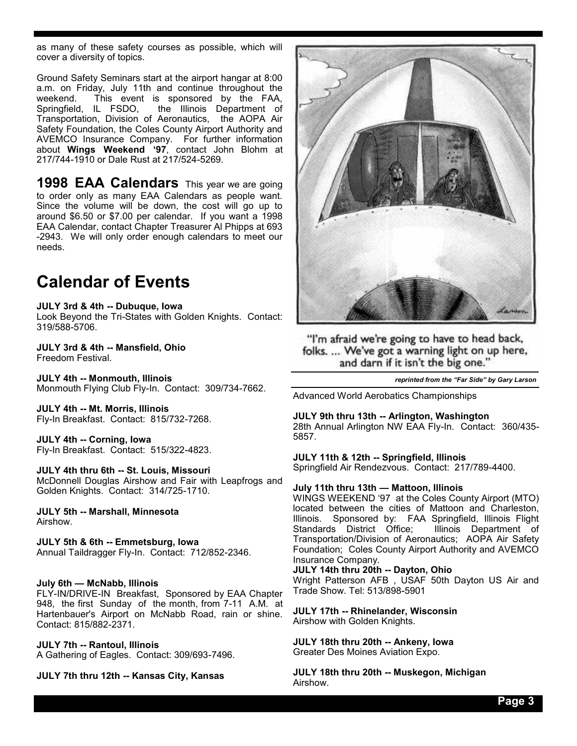as many of these safety courses as possible, which will cover a diversity of topics.

Ground Safety Seminars start at the airport hangar at 8:00 a.m. on Friday, July 11th and continue throughout the weekend. This event is sponsored by the FAA,<br>Springfield, IL FSDO, the Illinois Department of the Illinois Department of Transportation, Division of Aeronautics, the AOPA Air Safety Foundation, the Coles County Airport Authority and AVEMCO Insurance Company. For further information about **Wings Weekend '97**, contact John Blohm at 217/744-1910 or Dale Rust at 217/524-5269.

**1998 EAA Calendars** This year we are going to order only as many EAA Calendars as people want. Since the volume will be down, the cost will go up to around \$6.50 or \$7.00 per calendar. If you want a 1998 EAA Calendar, contact Chapter Treasurer Al Phipps at 693 -2943. We will only order enough calendars to meet our needs.

## **Calendar of Events**

## **JULY 3rd & 4th -- Dubuque, Iowa**

Look Beyond the Tri-States with Golden Knights. Contact: 319/588-5706.

#### **JULY 3rd & 4th -- Mansfield, Ohio** Freedom Festival.

**JULY 4th -- Monmouth, Illinois** Monmouth Flying Club Fly-In. Contact: 309/734-7662.

**JULY 4th -- Mt. Morris, Illinois** Fly-In Breakfast. Contact: 815/732-7268.

## **JULY 4th -- Corning, Iowa** Fly-In Breakfast. Contact: 515/322-4823.

## **JULY 4th thru 6th -- St. Louis, Missouri**

McDonnell Douglas Airshow and Fair with Leapfrogs and Golden Knights. Contact: 314/725-1710.

**JULY 5th -- Marshall, Minnesota** Airshow.

## **JULY 5th & 6th -- Emmetsburg, Iowa**

Annual Taildragger Fly-In. Contact: 712/852-2346.

## **July 6th — McNabb, Illinois**

FLY-IN/DRIVE-IN Breakfast, Sponsored by EAA Chapter 948, the first Sunday of the month, from 7-11 A.M. at Hartenbauer's Airport on McNabb Road, rain or shine. Contact: 815/882-2371.

## **JULY 7th -- Rantoul, Illinois** A Gathering of Eagles. Contact: 309/693-7496.

**JULY 7th thru 12th -- Kansas City, Kansas**



"I'm afraid we're going to have to head back, folks. ... We've got a warning light on up here, and darn if it isn't the big one."

*reprinted from the "Far Side" by Gary Larson*

Advanced World Aerobatics Championships

## **JULY 9th thru 13th -- Arlington, Washington**

28th Annual Arlington NW EAA Fly-In. Contact: 360/435- 5857.

## **JULY 11th & 12th -- Springfield, Illinois**

Springfield Air Rendezvous. Contact: 217/789-4400.

## **July 11th thru 13th — Mattoon, Illinois**

WINGS WEEKEND '97 at the Coles County Airport (MTO) located between the cities of Mattoon and Charleston, Illinois. Sponsored by: FAA Springfield, Illinois Flight Standards District Office; Illinois Department of Transportation/Division of Aeronautics; AOPA Air Safety Foundation; Coles County Airport Authority and AVEMCO Insurance Company.

## **JULY 14th thru 20th -- Dayton, Ohio**

Wright Patterson AFB , USAF 50th Dayton US Air and Trade Show. Tel: 513/898-5901

**JULY 17th -- Rhinelander, Wisconsin** Airshow with Golden Knights.

**JULY 18th thru 20th -- Ankeny, Iowa** Greater Des Moines Aviation Expo.

**JULY 18th thru 20th -- Muskegon, Michigan** Airshow.